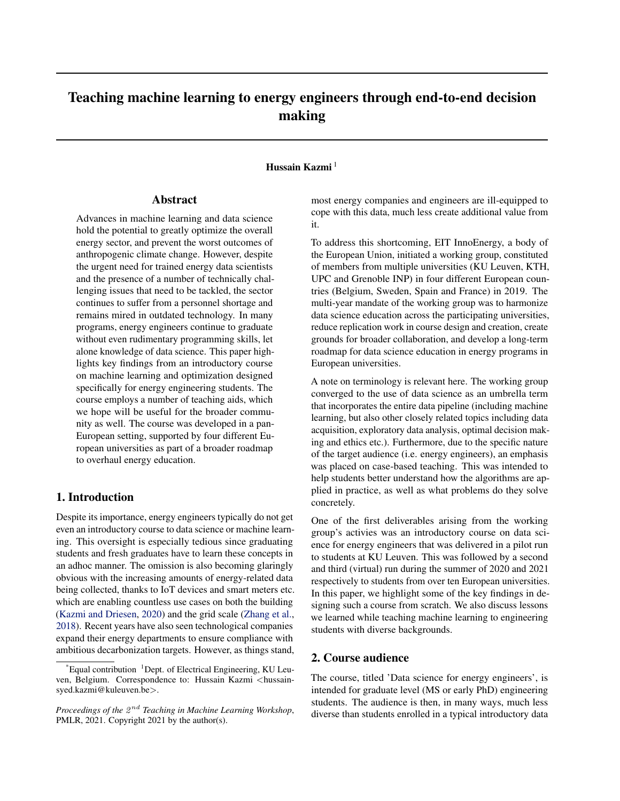# Teaching machine learning to energy engineers through end-to-end decision making

# Hussain Kazmi<sup>1</sup>

## Abstract

Advances in machine learning and data science hold the potential to greatly optimize the overall energy sector, and prevent the worst outcomes of anthropogenic climate change. However, despite the urgent need for trained energy data scientists and the presence of a number of technically challenging issues that need to be tackled, the sector continues to suffer from a personnel shortage and remains mired in outdated technology. In many programs, energy engineers continue to graduate without even rudimentary programming skills, let alone knowledge of data science. This paper highlights key findings from an introductory course on machine learning and optimization designed specifically for energy engineering students. The course employs a number of teaching aids, which we hope will be useful for the broader community as well. The course was developed in a pan-European setting, supported by four different European universities as part of a broader roadmap to overhaul energy education.

## 1. Introduction

Despite its importance, energy engineers typically do not get even an introductory course to data science or machine learning. This oversight is especially tedious since graduating students and fresh graduates have to learn these concepts in an adhoc manner. The omission is also becoming glaringly obvious with the increasing amounts of energy-related data being collected, thanks to IoT devices and smart meters etc. which are enabling countless use cases on both the building [\(Kazmi and Driesen,](#page-3-0) [2020\)](#page-3-0) and the grid scale [\(Zhang et al.,](#page-3-0) [2018\)](#page-3-0). Recent years have also seen technological companies expand their energy departments to ensure compliance with ambitious decarbonization targets. However, as things stand, most energy companies and engineers are ill-equipped to cope with this data, much less create additional value from it.

To address this shortcoming, EIT InnoEnergy, a body of the European Union, initiated a working group, constituted of members from multiple universities (KU Leuven, KTH, UPC and Grenoble INP) in four different European countries (Belgium, Sweden, Spain and France) in 2019. The multi-year mandate of the working group was to harmonize data science education across the participating universities, reduce replication work in course design and creation, create grounds for broader collaboration, and develop a long-term roadmap for data science education in energy programs in European universities.

A note on terminology is relevant here. The working group converged to the use of data science as an umbrella term that incorporates the entire data pipeline (including machine learning, but also other closely related topics including data acquisition, exploratory data analysis, optimal decision making and ethics etc.). Furthermore, due to the specific nature of the target audience (i.e. energy engineers), an emphasis was placed on case-based teaching. This was intended to help students better understand how the algorithms are applied in practice, as well as what problems do they solve concretely.

One of the first deliverables arising from the working group's activies was an introductory course on data science for energy engineers that was delivered in a pilot run to students at KU Leuven. This was followed by a second and third (virtual) run during the summer of 2020 and 2021 respectively to students from over ten European universities. In this paper, we highlight some of the key findings in designing such a course from scratch. We also discuss lessons we learned while teaching machine learning to engineering students with diverse backgrounds.

# 2. Course audience

The course, titled 'Data science for energy engineers', is intended for graduate level (MS or early PhD) engineering students. The audience is then, in many ways, much less diverse than students enrolled in a typical introductory data

 $E$ qual contribution  $1$ Dept. of Electrical Engineering, KU Leuven, Belgium. Correspondence to: Hussain Kazmi <hussainsyed.kazmi@kuleuven.be>.

Proceedings of the  $2^{nd}$  Teaching in Machine Learning Workshop, PMLR, 2021. Copyright 2021 by the author(s).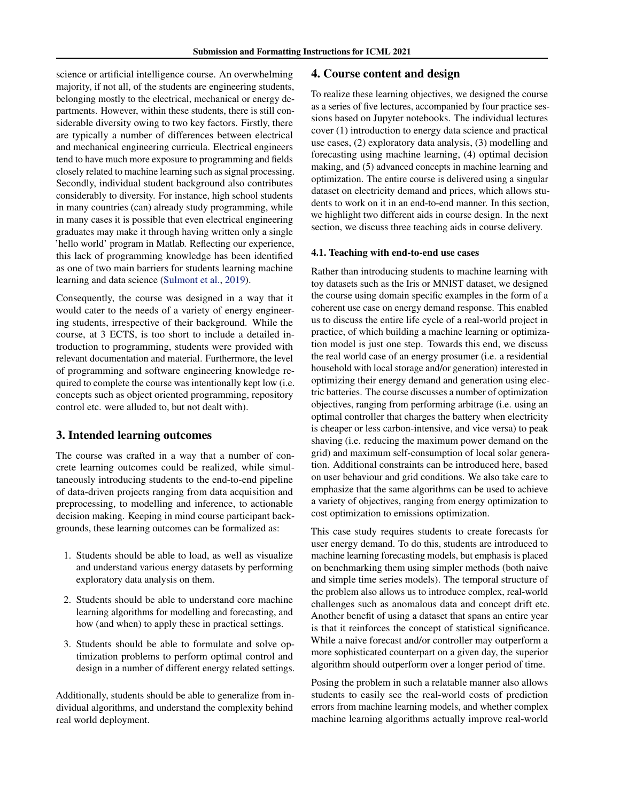science or artificial intelligence course. An overwhelming majority, if not all, of the students are engineering students, belonging mostly to the electrical, mechanical or energy departments. However, within these students, there is still considerable diversity owing to two key factors. Firstly, there are typically a number of differences between electrical and mechanical engineering curricula. Electrical engineers tend to have much more exposure to programming and fields closely related to machine learning such as signal processing. Secondly, individual student background also contributes considerably to diversity. For instance, high school students in many countries (can) already study programming, while in many cases it is possible that even electrical engineering graduates may make it through having written only a single 'hello world' program in Matlab. Reflecting our experience, this lack of programming knowledge has been identified as one of two main barriers for students learning machine learning and data science [\(Sulmont et al.,](#page-3-0) [2019\)](#page-3-0).

Consequently, the course was designed in a way that it would cater to the needs of a variety of energy engineering students, irrespective of their background. While the course, at 3 ECTS, is too short to include a detailed introduction to programming, students were provided with relevant documentation and material. Furthermore, the level of programming and software engineering knowledge required to complete the course was intentionally kept low (i.e. concepts such as object oriented programming, repository control etc. were alluded to, but not dealt with).

### 3. Intended learning outcomes

The course was crafted in a way that a number of concrete learning outcomes could be realized, while simultaneously introducing students to the end-to-end pipeline of data-driven projects ranging from data acquisition and preprocessing, to modelling and inference, to actionable decision making. Keeping in mind course participant backgrounds, these learning outcomes can be formalized as:

- 1. Students should be able to load, as well as visualize and understand various energy datasets by performing exploratory data analysis on them.
- 2. Students should be able to understand core machine learning algorithms for modelling and forecasting, and how (and when) to apply these in practical settings.
- 3. Students should be able to formulate and solve optimization problems to perform optimal control and design in a number of different energy related settings.

Additionally, students should be able to generalize from individual algorithms, and understand the complexity behind real world deployment.

#### 4. Course content and design

To realize these learning objectives, we designed the course as a series of five lectures, accompanied by four practice sessions based on Jupyter notebooks. The individual lectures cover (1) introduction to energy data science and practical use cases, (2) exploratory data analysis, (3) modelling and forecasting using machine learning, (4) optimal decision making, and (5) advanced concepts in machine learning and optimization. The entire course is delivered using a singular dataset on electricity demand and prices, which allows students to work on it in an end-to-end manner. In this section, we highlight two different aids in course design. In the next section, we discuss three teaching aids in course delivery.

#### 4.1. Teaching with end-to-end use cases

Rather than introducing students to machine learning with toy datasets such as the Iris or MNIST dataset, we designed the course using domain specific examples in the form of a coherent use case on energy demand response. This enabled us to discuss the entire life cycle of a real-world project in practice, of which building a machine learning or optimization model is just one step. Towards this end, we discuss the real world case of an energy prosumer (i.e. a residential household with local storage and/or generation) interested in optimizing their energy demand and generation using electric batteries. The course discusses a number of optimization objectives, ranging from performing arbitrage (i.e. using an optimal controller that charges the battery when electricity is cheaper or less carbon-intensive, and vice versa) to peak shaving (i.e. reducing the maximum power demand on the grid) and maximum self-consumption of local solar generation. Additional constraints can be introduced here, based on user behaviour and grid conditions. We also take care to emphasize that the same algorithms can be used to achieve a variety of objectives, ranging from energy optimization to cost optimization to emissions optimization.

This case study requires students to create forecasts for user energy demand. To do this, students are introduced to machine learning forecasting models, but emphasis is placed on benchmarking them using simpler methods (both naive and simple time series models). The temporal structure of the problem also allows us to introduce complex, real-world challenges such as anomalous data and concept drift etc. Another benefit of using a dataset that spans an entire year is that it reinforces the concept of statistical significance. While a naive forecast and/or controller may outperform a more sophisticated counterpart on a given day, the superior algorithm should outperform over a longer period of time.

Posing the problem in such a relatable manner also allows students to easily see the real-world costs of prediction errors from machine learning models, and whether complex machine learning algorithms actually improve real-world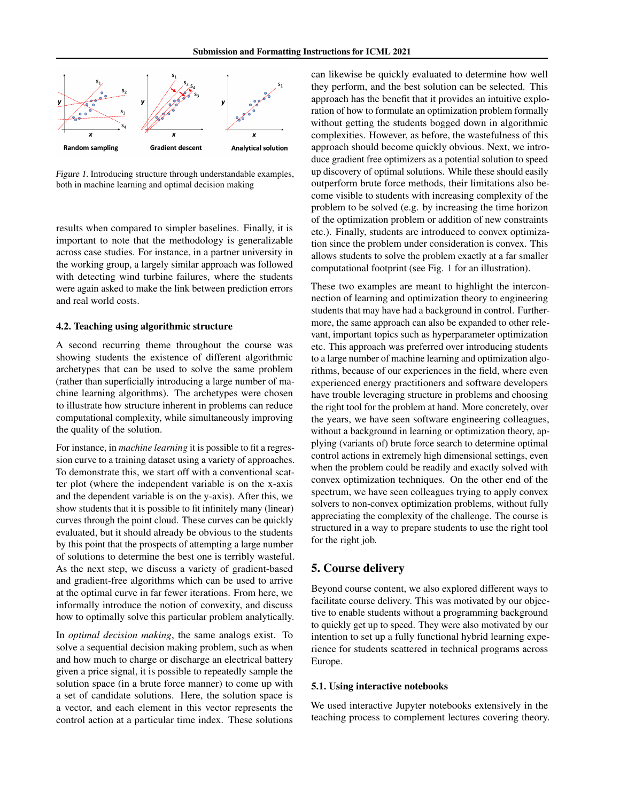

Figure 1. Introducing structure through understandable examples, both in machine learning and optimal decision making

results when compared to simpler baselines. Finally, it is important to note that the methodology is generalizable across case studies. For instance, in a partner university in the working group, a largely similar approach was followed with detecting wind turbine failures, where the students were again asked to make the link between prediction errors and real world costs.

#### 4.2. Teaching using algorithmic structure

A second recurring theme throughout the course was showing students the existence of different algorithmic archetypes that can be used to solve the same problem (rather than superficially introducing a large number of machine learning algorithms). The archetypes were chosen to illustrate how structure inherent in problems can reduce computational complexity, while simultaneously improving the quality of the solution.

For instance, in *machine learning* it is possible to fit a regression curve to a training dataset using a variety of approaches. To demonstrate this, we start off with a conventional scatter plot (where the independent variable is on the x-axis and the dependent variable is on the y-axis). After this, we show students that it is possible to fit infinitely many (linear) curves through the point cloud. These curves can be quickly evaluated, but it should already be obvious to the students by this point that the prospects of attempting a large number of solutions to determine the best one is terribly wasteful. As the next step, we discuss a variety of gradient-based and gradient-free algorithms which can be used to arrive at the optimal curve in far fewer iterations. From here, we informally introduce the notion of convexity, and discuss how to optimally solve this particular problem analytically.

In *optimal decision making*, the same analogs exist. To solve a sequential decision making problem, such as when and how much to charge or discharge an electrical battery given a price signal, it is possible to repeatedly sample the solution space (in a brute force manner) to come up with a set of candidate solutions. Here, the solution space is a vector, and each element in this vector represents the control action at a particular time index. These solutions

can likewise be quickly evaluated to determine how well they perform, and the best solution can be selected. This approach has the benefit that it provides an intuitive exploration of how to formulate an optimization problem formally without getting the students bogged down in algorithmic complexities. However, as before, the wastefulness of this approach should become quickly obvious. Next, we introduce gradient free optimizers as a potential solution to speed up discovery of optimal solutions. While these should easily outperform brute force methods, their limitations also become visible to students with increasing complexity of the problem to be solved (e.g. by increasing the time horizon of the optimization problem or addition of new constraints etc.). Finally, students are introduced to convex optimization since the problem under consideration is convex. This allows students to solve the problem exactly at a far smaller computational footprint (see Fig. 1 for an illustration).

These two examples are meant to highlight the interconnection of learning and optimization theory to engineering students that may have had a background in control. Furthermore, the same approach can also be expanded to other relevant, important topics such as hyperparameter optimization etc. This approach was preferred over introducing students to a large number of machine learning and optimization algorithms, because of our experiences in the field, where even experienced energy practitioners and software developers have trouble leveraging structure in problems and choosing the right tool for the problem at hand. More concretely, over the years, we have seen software engineering colleagues, without a background in learning or optimization theory, applying (variants of) brute force search to determine optimal control actions in extremely high dimensional settings, even when the problem could be readily and exactly solved with convex optimization techniques. On the other end of the spectrum, we have seen colleagues trying to apply convex solvers to non-convex optimization problems, without fully appreciating the complexity of the challenge. The course is structured in a way to prepare students to use the right tool for the right job.

## 5. Course delivery

Beyond course content, we also explored different ways to facilitate course delivery. This was motivated by our objective to enable students without a programming background to quickly get up to speed. They were also motivated by our intention to set up a fully functional hybrid learning experience for students scattered in technical programs across Europe.

#### 5.1. Using interactive notebooks

We used interactive Jupyter notebooks extensively in the teaching process to complement lectures covering theory.